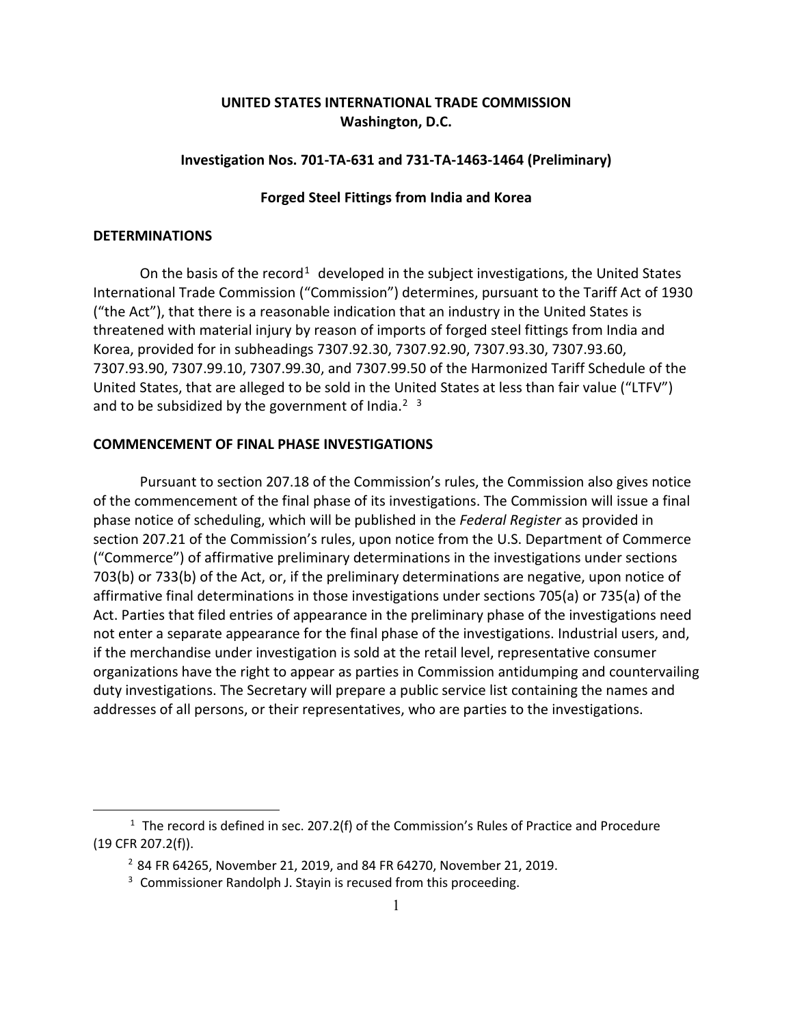# **UNITED STATES INTERNATIONAL TRADE COMMISSION Washington, D.C.**

## **Investigation Nos. 701-TA-631 and 731-TA-1463-1464 (Preliminary)**

## **Forged Steel Fittings from India and Korea**

#### **DETERMINATIONS**

 $\overline{a}$ 

On the basis of the record<sup>[1](#page-0-0)</sup> developed in the subject investigations, the United States International Trade Commission ("Commission") determines, pursuant to the Tariff Act of 1930 ("the Act"), that there is a reasonable indication that an industry in the United States is threatened with material injury by reason of imports of forged steel fittings from India and Korea, provided for in subheadings 7307.92.30, 7307.92.90, 7307.93.30, 7307.93.60, 7307.93.90, 7307.99.10, 7307.99.30, and 7307.99.50 of the Harmonized Tariff Schedule of the United States, that are alleged to be sold in the United States at less than fair value ("LTFV") and to be subsidized by the government of India.<sup>[2](#page-0-1)</sup>  $3$ 

## **COMMENCEMENT OF FINAL PHASE INVESTIGATIONS**

Pursuant to section 207.18 of the Commission's rules, the Commission also gives notice of the commencement of the final phase of its investigations. The Commission will issue a final phase notice of scheduling, which will be published in the *Federal Register* as provided in section 207.21 of the Commission's rules, upon notice from the U.S. Department of Commerce ("Commerce") of affirmative preliminary determinations in the investigations under sections 703(b) or 733(b) of the Act, or, if the preliminary determinations are negative, upon notice of affirmative final determinations in those investigations under sections 705(a) or 735(a) of the Act. Parties that filed entries of appearance in the preliminary phase of the investigations need not enter a separate appearance for the final phase of the investigations. Industrial users, and, if the merchandise under investigation is sold at the retail level, representative consumer organizations have the right to appear as parties in Commission antidumping and countervailing duty investigations. The Secretary will prepare a public service list containing the names and addresses of all persons, or their representatives, who are parties to the investigations.

<span id="page-0-2"></span><span id="page-0-1"></span><span id="page-0-0"></span> $1$  The record is defined in sec. 207.2(f) of the Commission's Rules of Practice and Procedure (19 CFR 207.2(f)).

 $2$  84 FR 64265, November 21, 2019, and 84 FR 64270, November 21, 2019.

<sup>&</sup>lt;sup>3</sup> Commissioner Randolph J. Stayin is recused from this proceeding.